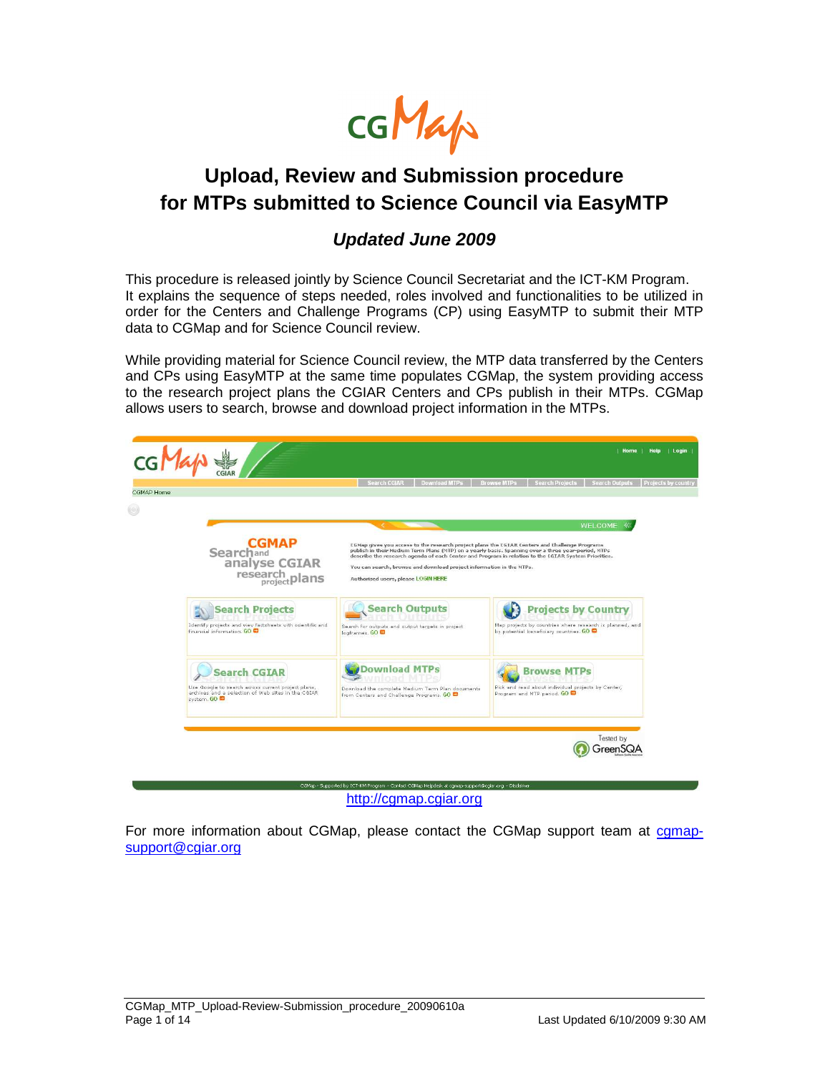

## **Upload, Review and Submission procedure for MTPs submitted to Science Council via EasyMTP**

#### **Updated June 2009**

This procedure is released jointly by Science Council Secretariat and the ICT-KM Program. It explains the sequence of steps needed, roles involved and functionalities to be utilized in order for the Centers and Challenge Programs (CP) using EasyMTP to submit their MTP data to CGMap and for Science Council review.

While providing material for Science Council review, the MTP data transferred by the Centers and CPs using EasyMTP at the same time populates CGMap, the system providing access to the research project plans the CGIAR Centers and CPs publish in their MTPs. CGMap allows users to search, browse and download project information in the MTPs.



http://cgmap.cgiar.org

For more information about CGMap, please contact the CGMap support team at comapsupport@cgiar.org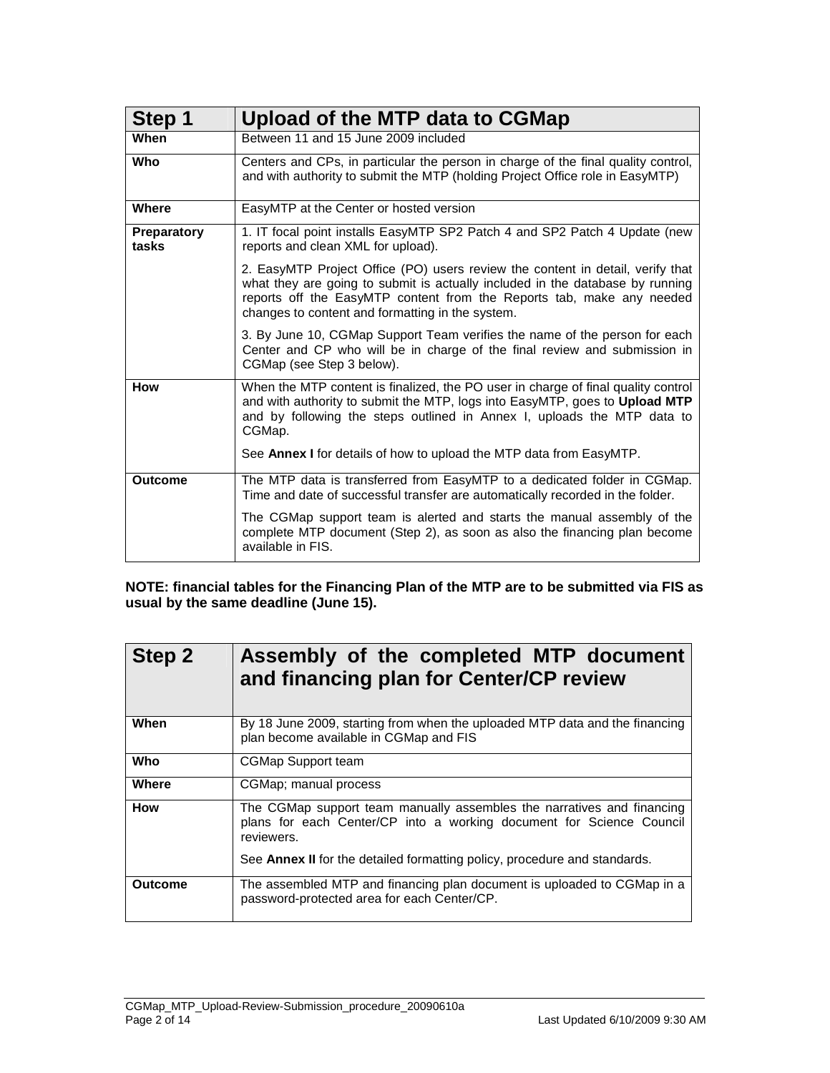| Step 1               | Upload of the MTP data to CGMap                                                                                                                                                                                                                                                              |  |  |  |
|----------------------|----------------------------------------------------------------------------------------------------------------------------------------------------------------------------------------------------------------------------------------------------------------------------------------------|--|--|--|
| When                 | Between 11 and 15 June 2009 included                                                                                                                                                                                                                                                         |  |  |  |
| Who                  | Centers and CPs, in particular the person in charge of the final quality control,<br>and with authority to submit the MTP (holding Project Office role in EasyMTP)                                                                                                                           |  |  |  |
| <b>Where</b>         | EasyMTP at the Center or hosted version                                                                                                                                                                                                                                                      |  |  |  |
| Preparatory<br>tasks | 1. IT focal point installs EasyMTP SP2 Patch 4 and SP2 Patch 4 Update (new<br>reports and clean XML for upload).                                                                                                                                                                             |  |  |  |
|                      | 2. EasyMTP Project Office (PO) users review the content in detail, verify that<br>what they are going to submit is actually included in the database by running<br>reports off the EasyMTP content from the Reports tab, make any needed<br>changes to content and formatting in the system. |  |  |  |
|                      | 3. By June 10, CGMap Support Team verifies the name of the person for each<br>Center and CP who will be in charge of the final review and submission in<br>CGMap (see Step 3 below).                                                                                                         |  |  |  |
| <b>How</b>           | When the MTP content is finalized, the PO user in charge of final quality control<br>and with authority to submit the MTP, logs into EasyMTP, goes to Upload MTP<br>and by following the steps outlined in Annex I, uploads the MTP data to<br>CGMap.                                        |  |  |  |
|                      | See Annex I for details of how to upload the MTP data from EasyMTP.                                                                                                                                                                                                                          |  |  |  |
| <b>Outcome</b>       | The MTP data is transferred from EasyMTP to a dedicated folder in CGMap.<br>Time and date of successful transfer are automatically recorded in the folder.                                                                                                                                   |  |  |  |
|                      | The CGMap support team is alerted and starts the manual assembly of the<br>complete MTP document (Step 2), as soon as also the financing plan become<br>available in FIS.                                                                                                                    |  |  |  |

**NOTE: financial tables for the Financing Plan of the MTP are to be submitted via FIS as usual by the same deadline (June 15).** 

| <b>Step 2</b>  | Assembly of the completed MTP document<br>and financing plan for Center/CP review                                                                            |
|----------------|--------------------------------------------------------------------------------------------------------------------------------------------------------------|
| When           | By 18 June 2009, starting from when the uploaded MTP data and the financing<br>plan become available in CGMap and FIS                                        |
| Who            | <b>CGMap Support team</b>                                                                                                                                    |
| Where          | CGMap; manual process                                                                                                                                        |
| How            | The CGMap support team manually assembles the narratives and financing<br>plans for each Center/CP into a working document for Science Council<br>reviewers. |
|                | See Annex II for the detailed formatting policy, procedure and standards.                                                                                    |
| <b>Outcome</b> | The assembled MTP and financing plan document is uploaded to CGMap in a<br>password-protected area for each Center/CP.                                       |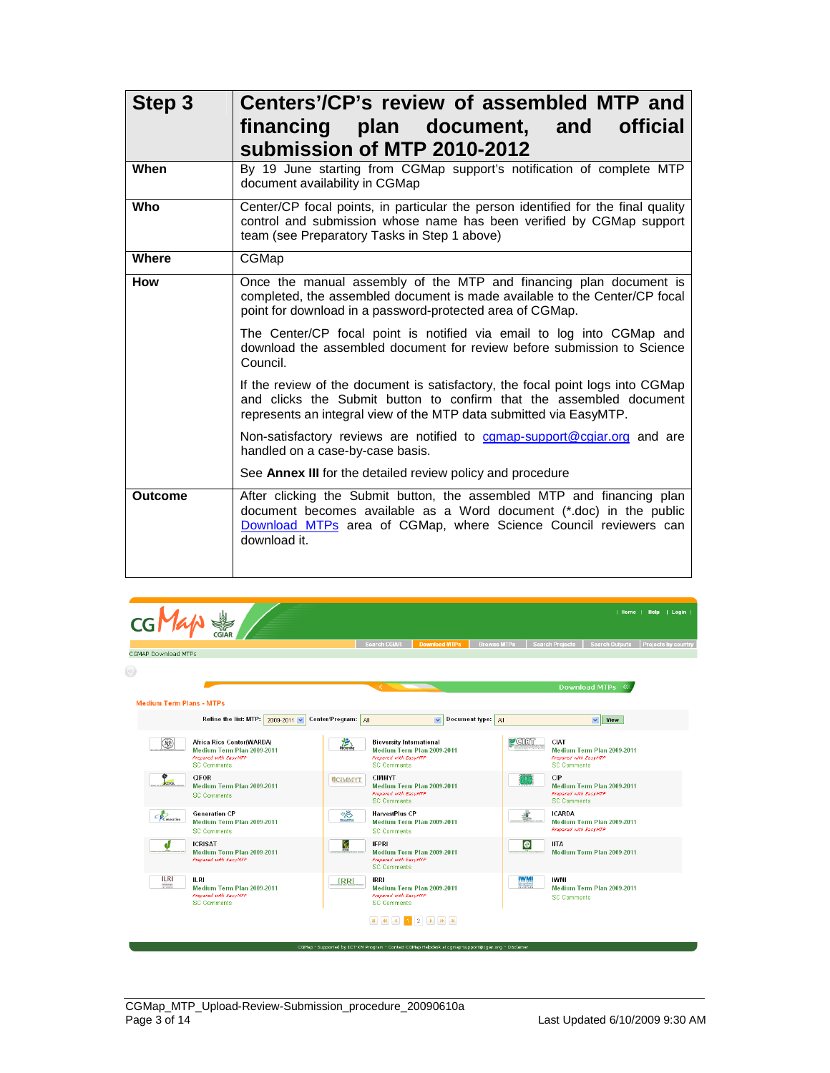| Step 3         | Centers'/CP's review of assembled MTP and<br>financing plan document, and official<br>submission of MTP 2010-2012                                                                                                                 |  |  |  |  |  |
|----------------|-----------------------------------------------------------------------------------------------------------------------------------------------------------------------------------------------------------------------------------|--|--|--|--|--|
| When           | By 19 June starting from CGMap support's notification of complete MTP<br>document availability in CGMap                                                                                                                           |  |  |  |  |  |
| Who            | Center/CP focal points, in particular the person identified for the final quality<br>control and submission whose name has been verified by CGMap support<br>team (see Preparatory Tasks in Step 1 above)                         |  |  |  |  |  |
| Where          | CGMap                                                                                                                                                                                                                             |  |  |  |  |  |
| How            | Once the manual assembly of the MTP and financing plan document is<br>completed, the assembled document is made available to the Center/CP focal<br>point for download in a password-protected area of CGMap.                     |  |  |  |  |  |
|                | The Center/CP focal point is notified via email to log into CGMap and<br>download the assembled document for review before submission to Science<br>Council.                                                                      |  |  |  |  |  |
|                | If the review of the document is satisfactory, the focal point logs into CGMap<br>and clicks the Submit button to confirm that the assembled document<br>represents an integral view of the MTP data submitted via EasyMTP.       |  |  |  |  |  |
|                | Non-satisfactory reviews are notified to comap-support@cgiar.org and are<br>handled on a case-by-case basis.                                                                                                                      |  |  |  |  |  |
|                | See Annex III for the detailed review policy and procedure                                                                                                                                                                        |  |  |  |  |  |
| <b>Outcome</b> | After clicking the Submit button, the assembled MTP and financing plan<br>document becomes available as a Word document (*.doc) in the public<br>Download MTPs area of CGMap, where Science Council reviewers can<br>download it. |  |  |  |  |  |

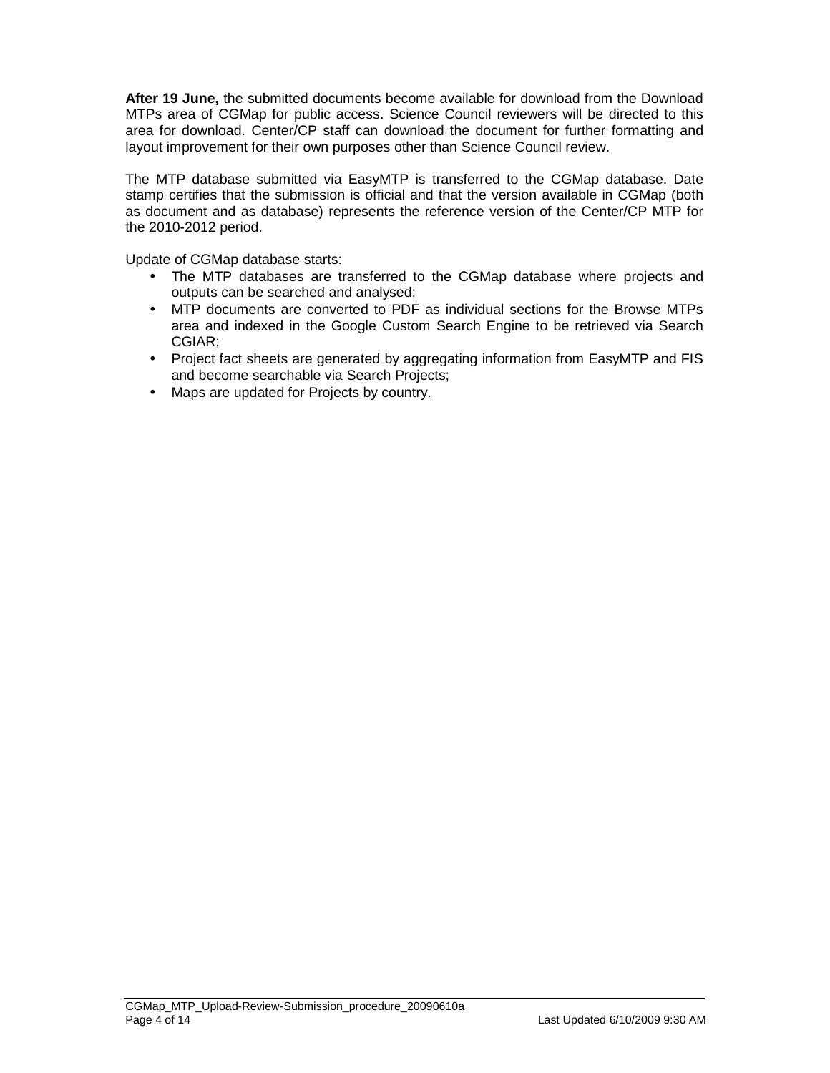**After 19 June,** the submitted documents become available for download from the Download MTPs area of CGMap for public access. Science Council reviewers will be directed to this area for download. Center/CP staff can download the document for further formatting and layout improvement for their own purposes other than Science Council review.

The MTP database submitted via EasyMTP is transferred to the CGMap database. Date stamp certifies that the submission is official and that the version available in CGMap (both as document and as database) represents the reference version of the Center/CP MTP for the 2010-2012 period.

Update of CGMap database starts:

- The MTP databases are transferred to the CGMap database where projects and outputs can be searched and analysed;
- MTP documents are converted to PDF as individual sections for the Browse MTPs area and indexed in the Google Custom Search Engine to be retrieved via Search CGIAR;
- Project fact sheets are generated by aggregating information from EasyMTP and FIS and become searchable via Search Projects;
- Maps are updated for Projects by country.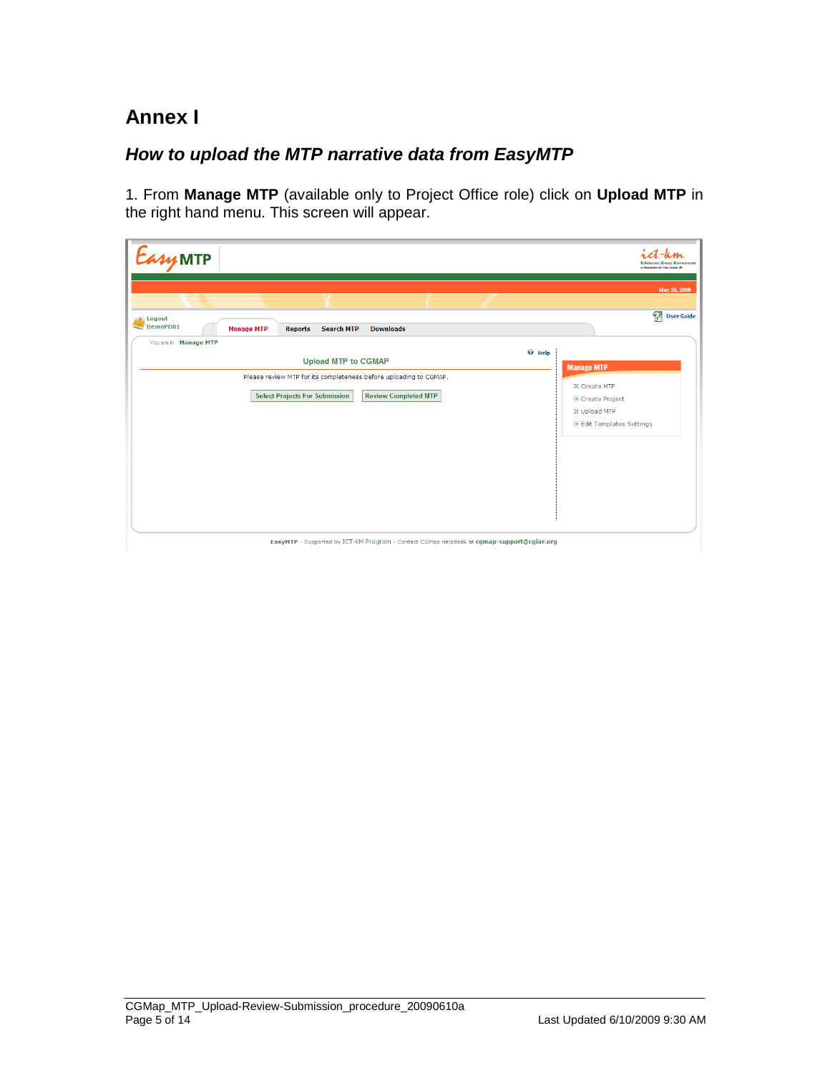# **Annex I**

### **How to upload the MTP narrative data from EasyMTP**

1. From **Manage MTP** (available only to Project Office role) click on **Upload MTP** in the right hand menu. This screen will appear.

| EasyMTP                                                                                                                                   | Collaborate, Create, Communicate<br>A PROGRAM OF THE CGIAR VS                      |
|-------------------------------------------------------------------------------------------------------------------------------------------|------------------------------------------------------------------------------------|
| L.                                                                                                                                        | May 26, 2009<br>2<br><b>User Guide</b>                                             |
| Logout<br>DemoPO01<br><b>Downloads</b><br><b>Search MTP</b><br><b>Manage MTP</b><br><b>Reports</b>                                        |                                                                                    |
| You are in: Manage MTP<br>$\Theta$ Help<br><b>Upload MTP to CGMAP</b>                                                                     | <b>Manage MTP</b>                                                                  |
| Please review MTP for its completeness before uploading to CGMAP.<br><b>Select Projects For Submission</b><br><b>Review Completed MTP</b> | <b>EX Create MTP</b>                                                               |
|                                                                                                                                           | <b>EX Create Project</b><br><b>EX Upload MTP</b><br><b>Edit Templates Settings</b> |
|                                                                                                                                           |                                                                                    |
|                                                                                                                                           |                                                                                    |
|                                                                                                                                           |                                                                                    |
|                                                                                                                                           |                                                                                    |
| EasyMTP - Supported by ICT-KM Program - Contact CGMap Helpdesk at cgmap-support@cgiar.org                                                 |                                                                                    |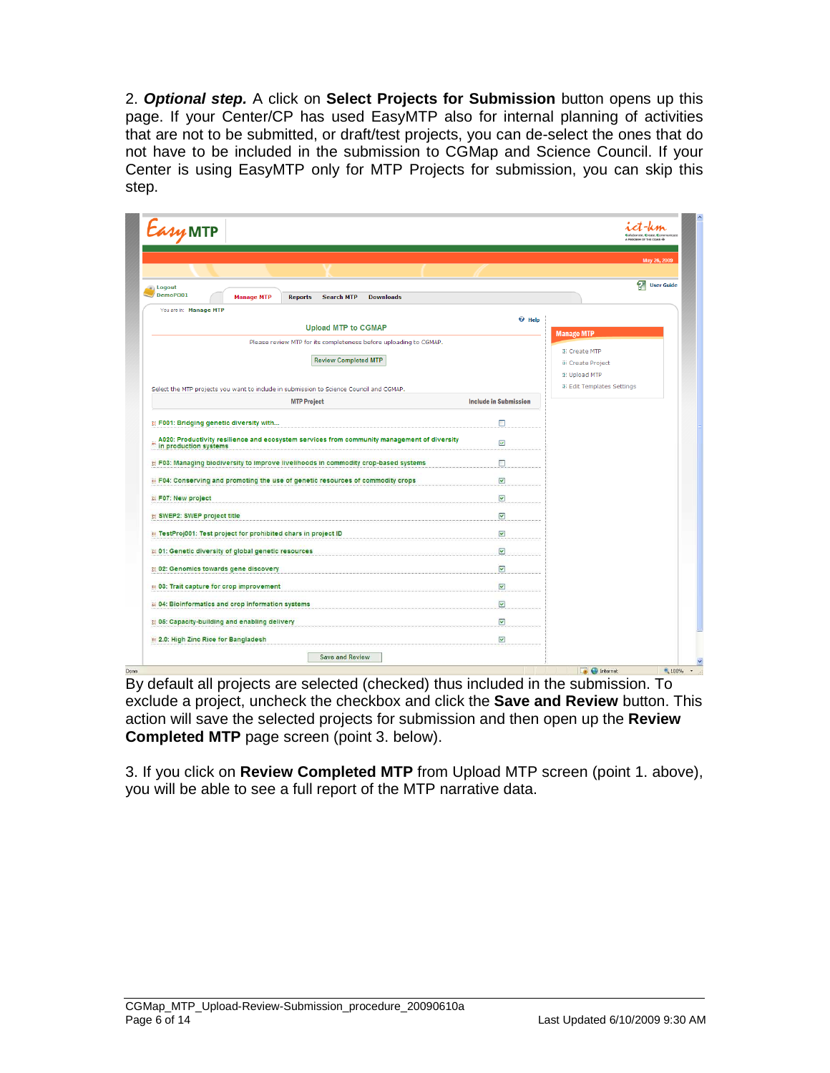2. **Optional step.** A click on **Select Projects for Submission** button opens up this page. If your Center/CP has used EasyMTP also for internal planning of activities that are not to be submitted, or draft/test projects, you can de-select the ones that do not have to be included in the submission to CGMap and Science Council. If your Center is using EasyMTP only for MTP Projects for submission, you can skip this step.

|                                                                                                                                                                    |                                                                                             |                              | May 26, 2009                                     |
|--------------------------------------------------------------------------------------------------------------------------------------------------------------------|---------------------------------------------------------------------------------------------|------------------------------|--------------------------------------------------|
| a) Logout                                                                                                                                                          |                                                                                             |                              | ମ୍ମ<br><b>User Guide</b>                         |
| DemoPO01<br><b>Manage MTP</b>                                                                                                                                      | <b>Reports</b><br><b>Search MTP</b><br><b>Downloads</b>                                     |                              |                                                  |
| You are in: Manage MTP                                                                                                                                             | <b>Upload MTP to CGMAP</b>                                                                  | <sup><i>O</i></sup> Help     |                                                  |
|                                                                                                                                                                    | Please review MTP for its completeness before uploading to CGMAP.                           |                              | <b>Manage MTP</b>                                |
|                                                                                                                                                                    | <b>Review Completed MTP</b>                                                                 |                              | <b>EX Create MTP</b>                             |
|                                                                                                                                                                    |                                                                                             |                              | <b>EX Create Project</b><br><b>EX Upload MTP</b> |
| Select the MTP projects you want to include in submission to Science Council and CGMAP.                                                                            |                                                                                             |                              | <b>Edit Templates Settings</b>                   |
|                                                                                                                                                                    | <b>MTP Project</b>                                                                          | <b>Include in Submission</b> |                                                  |
|                                                                                                                                                                    |                                                                                             |                              |                                                  |
| <b>E F001: Bridging genetic diversity with</b>                                                                                                                     |                                                                                             | П                            |                                                  |
| e<br>in production systems                                                                                                                                         | A020: Productivity resilience and ecosystem services from community management of diversity | ☑                            |                                                  |
|                                                                                                                                                                    |                                                                                             |                              |                                                  |
|                                                                                                                                                                    | B F03: Managing biodiversity to improve livelihoods in commodity crop-based systems         | П                            |                                                  |
| <b>B</b> F04: Conserving and promoting the use of genetic resources of commodity crops                                                                             |                                                                                             |                              |                                                  |
|                                                                                                                                                                    |                                                                                             | $\overline{\mathbf{v}}$      |                                                  |
|                                                                                                                                                                    |                                                                                             | $\overline{\mathbf{v}}$      |                                                  |
|                                                                                                                                                                    |                                                                                             |                              |                                                  |
|                                                                                                                                                                    |                                                                                             | ⊻                            |                                                  |
|                                                                                                                                                                    |                                                                                             | M                            |                                                  |
| F07: New project<br>SWEP2: SWEP project title<br>TestProj001: Test project for prohibited chars in project ID<br>01: Genetic diversity of global genetic resources |                                                                                             | $\blacktriangledown$         |                                                  |
| 6 02: Genomics towards gene discovery                                                                                                                              |                                                                                             | M                            |                                                  |
|                                                                                                                                                                    |                                                                                             | M                            |                                                  |
| 03: Trait capture for crop improvement<br>04: Bioinformatics and crop information systems                                                                          |                                                                                             | $\blacktriangledown$         |                                                  |
| 65: Capacity-building and enabling delivery                                                                                                                        |                                                                                             | M                            |                                                  |

By default all projects are selected (checked) thus included in the submission. To exclude a project, uncheck the checkbox and click the **Save and Review** button. This action will save the selected projects for submission and then open up the **Review Completed MTP** page screen (point 3. below).

3. If you click on **Review Completed MTP** from Upload MTP screen (point 1. above), you will be able to see a full report of the MTP narrative data.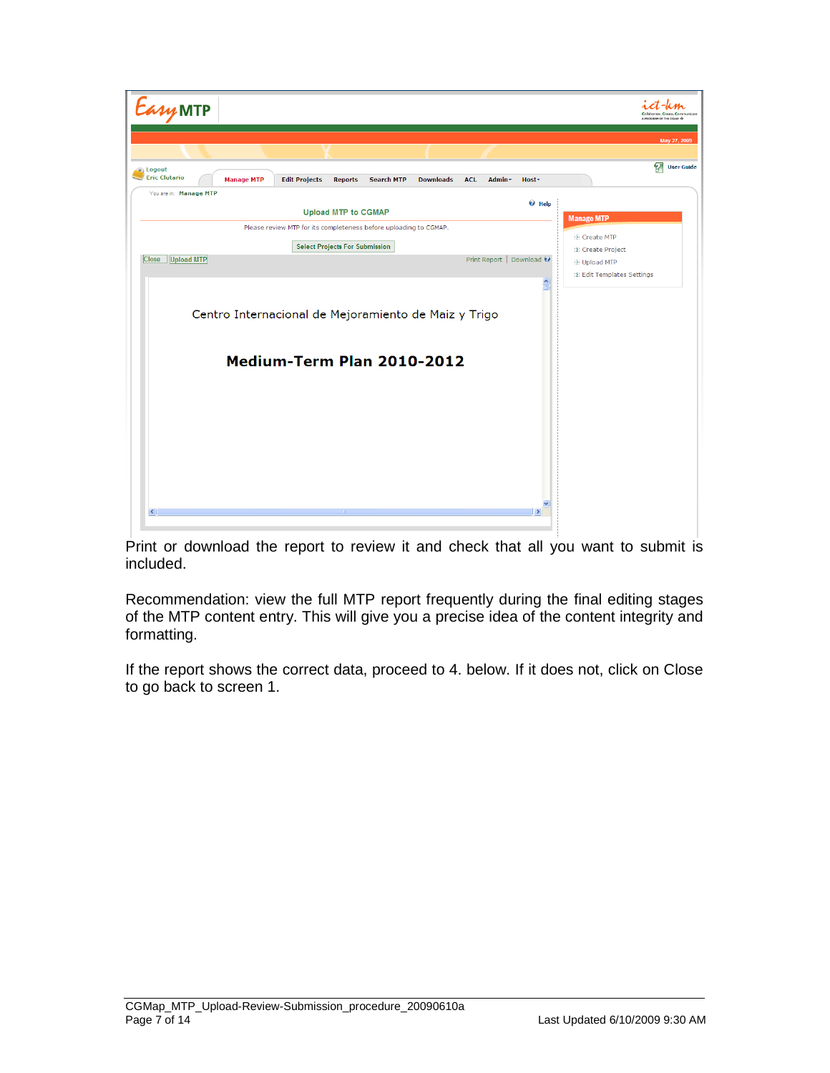

Print or download the report to review it and check that all you want to submit is included.

Recommendation: view the full MTP report frequently during the final editing stages of the MTP content entry. This will give you a precise idea of the content integrity and formatting.

If the report shows the correct data, proceed to 4. below. If it does not, click on Close to go back to screen 1.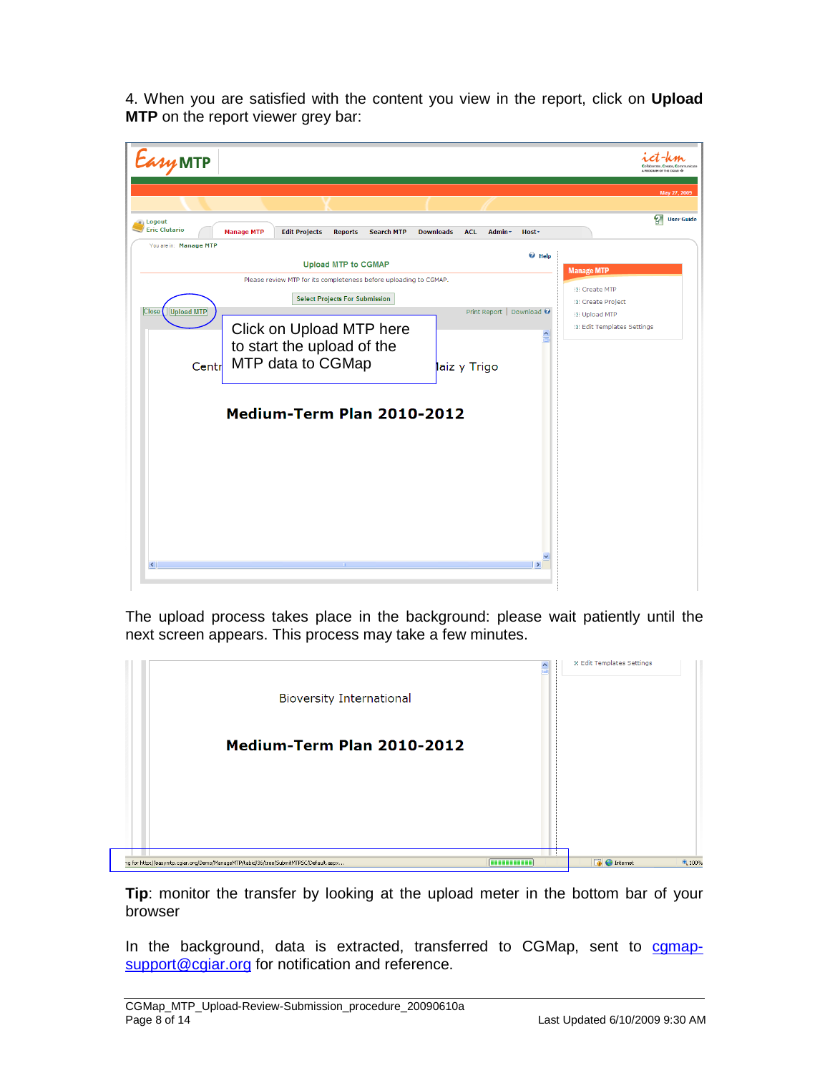4. When you are satisfied with the content you view in the report, click on **Upload MTP** on the report viewer grey bar:



The upload process takes place in the background: please wait patiently until the next screen appears. This process may take a few minutes.

|                                                                                       |                                 | <b>Edit Templates Settings</b> |        |
|---------------------------------------------------------------------------------------|---------------------------------|--------------------------------|--------|
| <b>Bioversity International</b>                                                       |                                 |                                |        |
| Medium-Term Plan 2010-2012                                                            |                                 |                                |        |
|                                                                                       |                                 |                                |        |
|                                                                                       |                                 |                                |        |
| ng for http://easymtp.cgiar.org/Demo/ManageMTP/tabid/36/tree/SubmitMTPSC/Default.aspx | <b><i><u>BERKERBERK</u></i></b> | $\Box$ $\Theta$ Internet       | € 100% |

**Tip**: monitor the transfer by looking at the upload meter in the bottom bar of your browser

In the background, data is extracted, transferred to CGMap, sent to cgmapsupport@cgiar.org for notification and reference.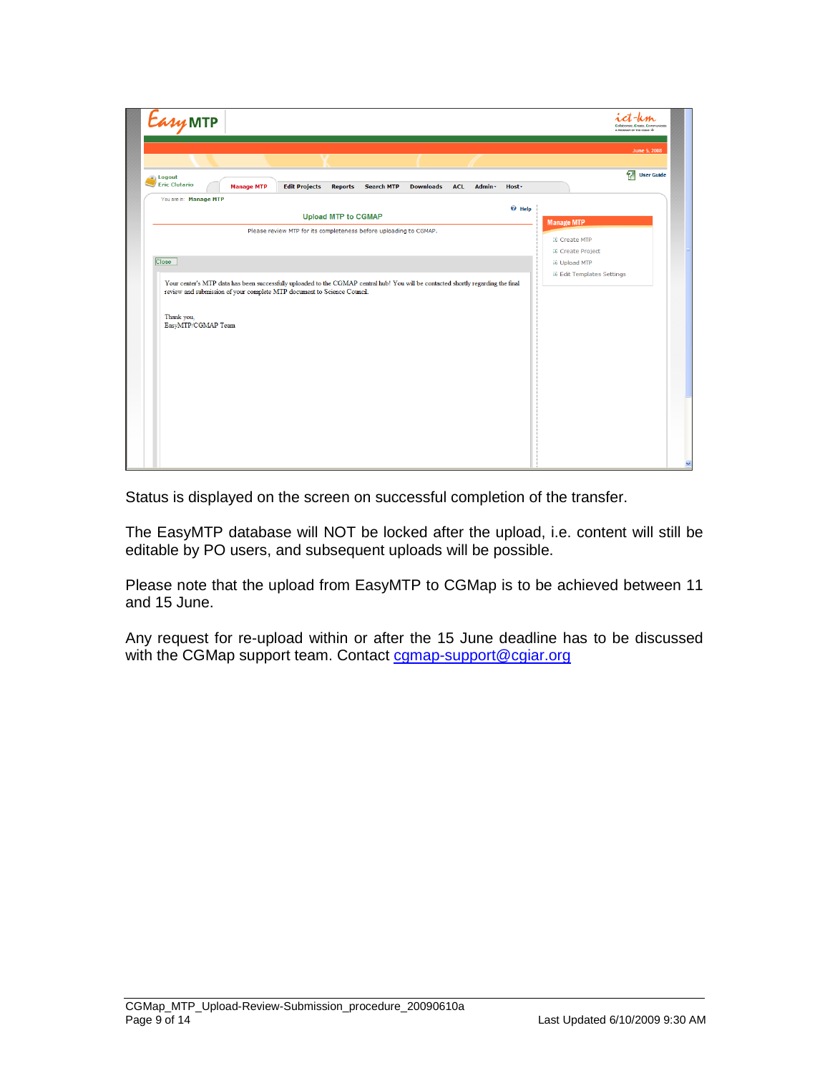| <i><b>Easy MTP</b></i>                                                                                                                                                      | Collaborate, Create, Communicate<br>A PROGRAM OF THE COIAR -                          |
|-----------------------------------------------------------------------------------------------------------------------------------------------------------------------------|---------------------------------------------------------------------------------------|
|                                                                                                                                                                             | June 5, 2008                                                                          |
| a Logout<br><b>Eric Clutario</b><br><b>Manage MTP</b><br><b>Edit Projects</b><br><b>Downloads</b><br>Admin -<br><b>Reports</b><br><b>Search MTP</b><br><b>ACL</b><br>Host - | 2<br><b>User Guide</b>                                                                |
| You are in: Manage MTP<br>$\Theta$ Help<br><b>Upload MTP to CGMAP</b><br>Please review MTP for its completeness before uploading to CGMAP.                                  | <b>Manage MTP</b><br><b>El Create MTP</b>                                             |
| Close<br>Your center's MTP data has been successfully uploaded to the CGMAP central hub! You will be contacted shortly regarding the final                                  | <b>El Create Project</b><br><b>EE</b> Upload MTP<br><b>IX Edit Templates Settings</b> |
| review and submission of your complete MTP document to Science Council.<br>Thank you,                                                                                       |                                                                                       |
| EasyMTP/CGMAP Team                                                                                                                                                          |                                                                                       |
|                                                                                                                                                                             |                                                                                       |
|                                                                                                                                                                             |                                                                                       |
|                                                                                                                                                                             |                                                                                       |
|                                                                                                                                                                             |                                                                                       |

Status is displayed on the screen on successful completion of the transfer.

The EasyMTP database will NOT be locked after the upload, i.e. content will still be editable by PO users, and subsequent uploads will be possible.

Please note that the upload from EasyMTP to CGMap is to be achieved between 11 and 15 June.

Any request for re-upload within or after the 15 June deadline has to be discussed with the CGMap support team. Contact camap-support@cgiar.org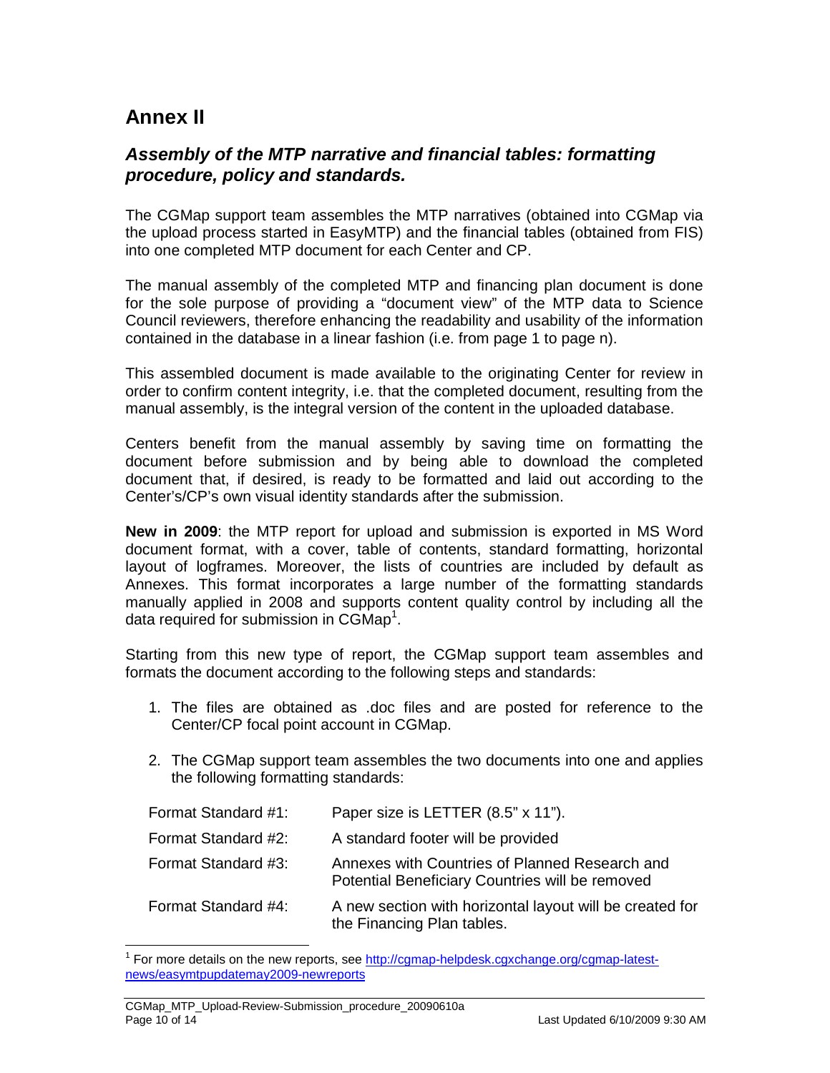## **Annex II**

#### **Assembly of the MTP narrative and financial tables: formatting procedure, policy and standards.**

The CGMap support team assembles the MTP narratives (obtained into CGMap via the upload process started in EasyMTP) and the financial tables (obtained from FIS) into one completed MTP document for each Center and CP.

The manual assembly of the completed MTP and financing plan document is done for the sole purpose of providing a "document view" of the MTP data to Science Council reviewers, therefore enhancing the readability and usability of the information contained in the database in a linear fashion (i.e. from page 1 to page n).

This assembled document is made available to the originating Center for review in order to confirm content integrity, i.e. that the completed document, resulting from the manual assembly, is the integral version of the content in the uploaded database.

Centers benefit from the manual assembly by saving time on formatting the document before submission and by being able to download the completed document that, if desired, is ready to be formatted and laid out according to the Center's/CP's own visual identity standards after the submission.

**New in 2009**: the MTP report for upload and submission is exported in MS Word document format, with a cover, table of contents, standard formatting, horizontal layout of logframes. Moreover, the lists of countries are included by default as Annexes. This format incorporates a large number of the formatting standards manually applied in 2008 and supports content quality control by including all the data required for submission in  $CGMap<sup>1</sup>$ .

Starting from this new type of report, the CGMap support team assembles and formats the document according to the following steps and standards:

- 1. The files are obtained as .doc files and are posted for reference to the Center/CP focal point account in CGMap.
- 2. The CGMap support team assembles the two documents into one and applies the following formatting standards:

| Format Standard #1: | Paper size is LETTER (8.5" x 11").                                                                |
|---------------------|---------------------------------------------------------------------------------------------------|
| Format Standard #2: | A standard footer will be provided                                                                |
| Format Standard #3: | Annexes with Countries of Planned Research and<br>Potential Beneficiary Countries will be removed |
| Format Standard #4: | A new section with horizontal layout will be created for<br>the Financing Plan tables.            |

<sup>&</sup>lt;sup>1</sup> For more details on the new reports, see http://cgmap-helpdesk.cgxchange.org/cgmap-latestnews/easymtpupdatemay2009-newreports

 $\overline{a}$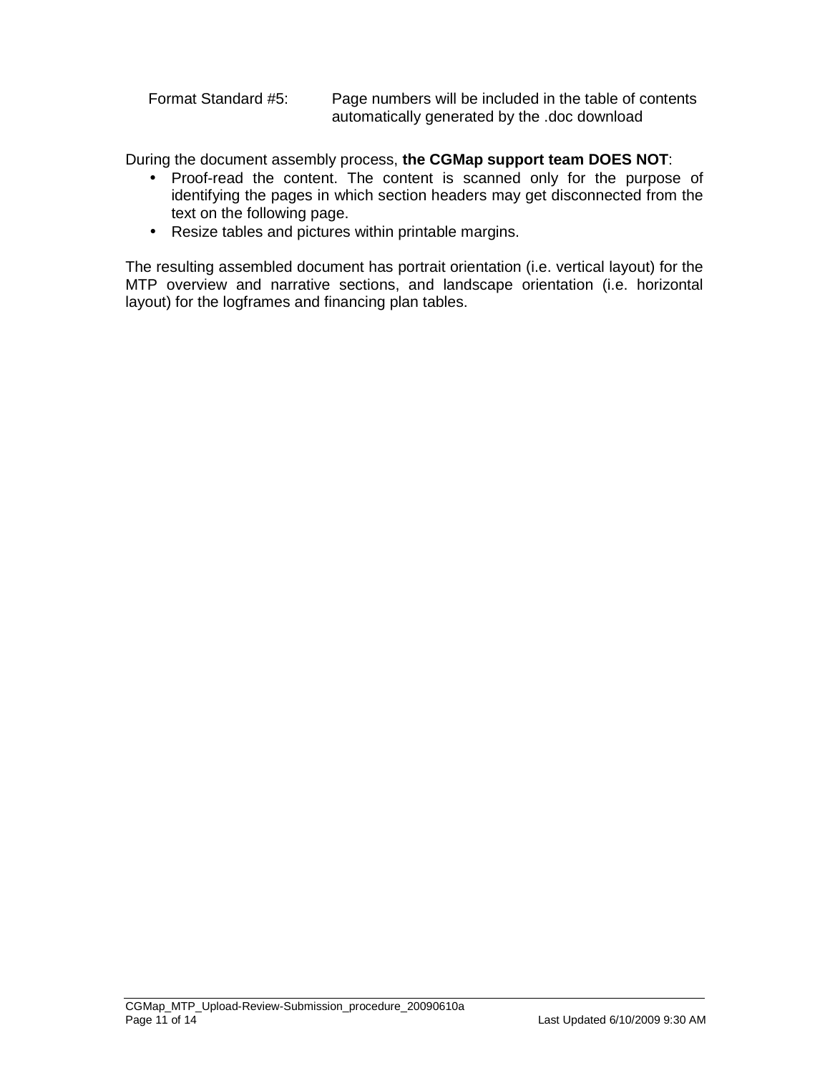Format Standard #5: Page numbers will be included in the table of contents automatically generated by the .doc download

During the document assembly process, **the CGMap support team DOES NOT**:

- Proof-read the content. The content is scanned only for the purpose of identifying the pages in which section headers may get disconnected from the text on the following page.
- Resize tables and pictures within printable margins.

The resulting assembled document has portrait orientation (i.e. vertical layout) for the MTP overview and narrative sections, and landscape orientation (i.e. horizontal layout) for the logframes and financing plan tables.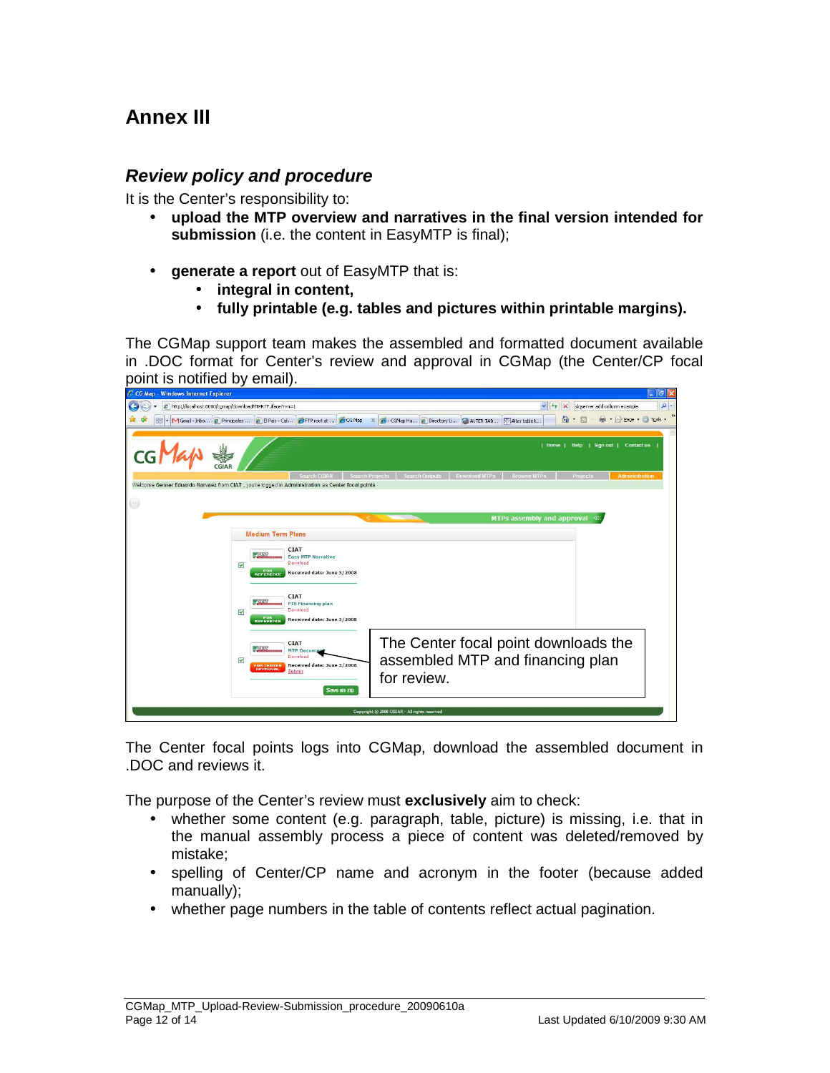### **Annex III**

#### **Review policy and procedure**

It is the Center's responsibility to:

- **upload the MTP overview and narratives in the final version intended for submission** (i.e. the content in EasyMTP is final);
- **generate a report** out of EasyMTP that is:
	- **integral in content,**
	- **fully printable (e.g. tables and pictures within printable margins).**

The CGMap support team makes the assembled and formatted document available in .DOC format for Center's review and approval in CGMap (the Center/CP focal point is notified by email).

| C CG Map - Windows Internet Explorer                                                             |                                                                                                                                            |                                                                                                                                 |                                         | $\Box$ $\Box$ $\times$                   |
|--------------------------------------------------------------------------------------------------|--------------------------------------------------------------------------------------------------------------------------------------------|---------------------------------------------------------------------------------------------------------------------------------|-----------------------------------------|------------------------------------------|
| http://localhost:8080/cgmap/downloadMTPRTF.iface?rvn=1<br>e                                      |                                                                                                                                            |                                                                                                                                 | $\vee$ $\frac{f}{f}$<br>$\vert x \vert$ | $\alpha$<br>sigserver add column example |
| 88                                                                                               |                                                                                                                                            | v M Gmail - Inbo 2 Principales  2 El Pas - Cal 2 FTP root at  2 GM Ap X 2 : CGMap Hu 2 Directory Li 2 ALTER TAB TRIAKer table t | 伶                                       | $\rightarrow$<br>* Fix Page * C Tools *  |
|                                                                                                  |                                                                                                                                            |                                                                                                                                 | I Home I<br>Help                        | Sign out   Contact us                    |
| Welcome Genner Eduardo Narvaez from CIAT, you're logged in Administration as Center focal points | Search CGIAR                                                                                                                               | <b>Search Outputs</b><br>Download MTPs<br><b>Search Projects</b>                                                                | <b>Browse MTPs</b>                      | Projects<br>Administration               |
| $\circledcirc$                                                                                   |                                                                                                                                            |                                                                                                                                 | <b>MTPs assembly and approval</b>       | 《                                        |
| <b>Medium Term Plans</b>                                                                         |                                                                                                                                            |                                                                                                                                 |                                         |                                          |
| <b>GIAN</b><br>$\overline{\mathbf{v}}$<br><b>FOR</b><br>REFERENCE<br>$-$ Ginn<br>V               | <b>CIAT</b><br><b>Easy MTP Narrative</b><br>Download<br>Received date: June 3/2008<br><b>CIAT</b><br><b>FIS Financing plan</b><br>Download |                                                                                                                                 |                                         |                                          |
| <b>FOR</b><br>REFERENCE<br><b>K</b> STIB <sub>L</sub><br>M<br><b>FOR CENTER</b><br>APPROVAL      | Received date: June 3/2008<br><b>CIAT</b><br><b>MTP Documen</b><br>Download<br>Received date: June 3/2008<br>Submit<br>Save as zip         | The Center focal point downloads the<br>assembled MTP and financing plan<br>for review.                                         |                                         |                                          |
|                                                                                                  |                                                                                                                                            | Copyright © 2008 CGIAR - All rights reserved                                                                                    |                                         |                                          |

The Center focal points logs into CGMap, download the assembled document in .DOC and reviews it.

The purpose of the Center's review must **exclusively** aim to check:

- whether some content (e.g. paragraph, table, picture) is missing, i.e. that in the manual assembly process a piece of content was deleted/removed by mistake;
- spelling of Center/CP name and acronym in the footer (because added manually);
- whether page numbers in the table of contents reflect actual pagination.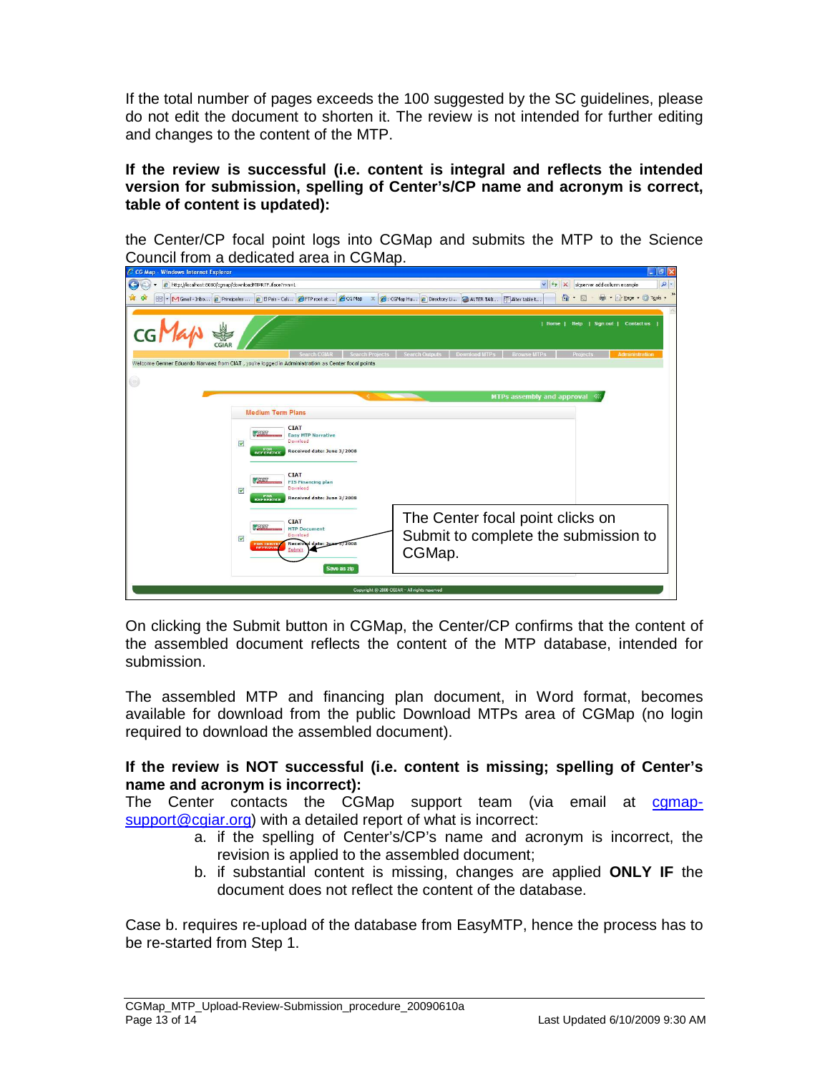If the total number of pages exceeds the 100 suggested by the SC guidelines, please do not edit the document to shorten it. The review is not intended for further editing and changes to the content of the MTP.

**If the review is successful (i.e. content is integral and reflects the intended version for submission, spelling of Center's/CP name and acronym is correct, table of content is updated):** 

the Center/CP focal point logs into CGMap and submits the MTP to the Science Council from a dedicated area in CGMap.



On clicking the Submit button in CGMap, the Center/CP confirms that the content of the assembled document reflects the content of the MTP database, intended for submission.

The assembled MTP and financing plan document, in Word format, becomes available for download from the public Download MTPs area of CGMap (no login required to download the assembled document).

#### **If the review is NOT successful (i.e. content is missing; spelling of Center's name and acronym is incorrect):**

The Center contacts the CGMap support team (via email at cgmapsupport@cgiar.org) with a detailed report of what is incorrect:

- a. if the spelling of Center's/CP's name and acronym is incorrect, the revision is applied to the assembled document;
- b. if substantial content is missing, changes are applied **ONLY IF** the document does not reflect the content of the database.

Case b. requires re-upload of the database from EasyMTP, hence the process has to be re-started from Step 1.